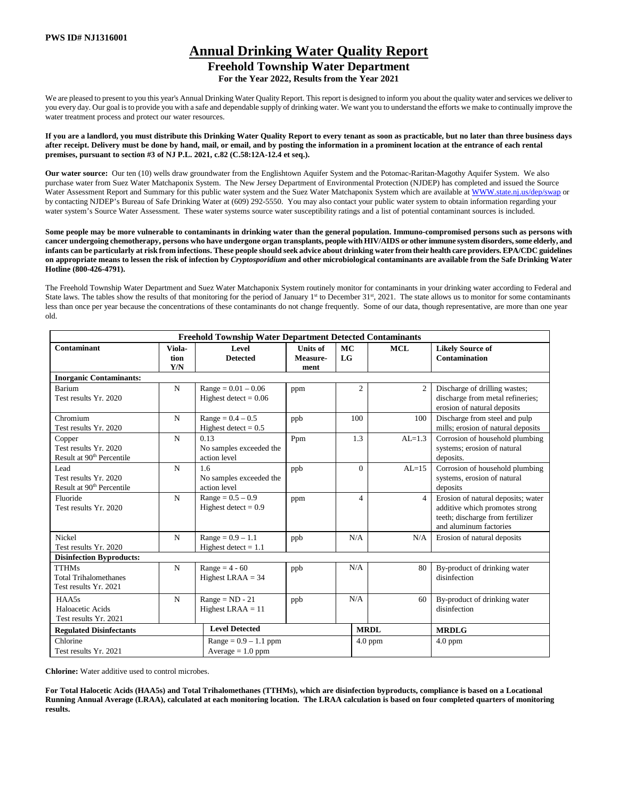# **Annual Drinking Water Quality Report Freehold Township Water Department**

**For the Year 2022, Results from the Year 2021**

We are pleased to present to you this year's Annual Drinking Water Quality Report. This report is designed to inform you about the quality water and services we deliver to you every day. Our goal is to provide you with a safe and dependable supply of drinking water. We want you to understand the efforts we make to continually improve the water treatment process and protect our water resources.

**If you are a landlord, you must distribute this Drinking Water Quality Report to every tenant as soon as practicable, but no later than three business days after receipt. Delivery must be done by hand, mail, or email, and by posting the information in a prominent location at the entrance of each rental premises, pursuant to section #3 of NJ P.L. 2021, c.82 (C.58:12A-12.4 et seq.).**

**Our water source:** Our ten (10) wells draw groundwater from the Englishtown Aquifer System and the Potomac-Raritan-Magothy Aquifer System. We also purchase water from Suez Water Matchaponix System. The New Jersey Department of Environmental Protection (NJDEP) has completed and issued the Source Water Assessment Report and Summary for this public water system and the Suez Water Matchaponix System which are available a[t WWW.state.nj.us/dep/swap](http://www.state.nj.us/dep/swap) or by contacting NJDEP's Bureau of Safe Drinking Water at (609) 292-5550. You may also contact your public water system to obtain information regarding your water system's Source Water Assessment. These water systems source water susceptibility ratings and a list of potential contaminant sources is included.

**Some people may be more vulnerable to contaminants in drinking water than the general population. Immuno-compromised persons such as persons with cancer undergoing chemotherapy, persons who have undergone organ transplants, people with HIV/AIDS or other immune system disorders, some elderly, and infants can be particularly at risk from infections. These people should seek advice about drinking water from their health care providers. EPA/CDC guidelines on appropriate means to lessen the risk of infection by** *Cryptosporidium* **and other microbiological contaminants are available from the Safe Drinking Water Hotline (800-426-4791).** 

The Freehold Township Water Department and Suez Water Matchaponix System routinely monitor for contaminants in your drinking water according to Federal and State laws. The tables show the results of that monitoring for the period of January  $1<sup>st</sup>$  to December  $31<sup>st</sup>$ , 2021. The state allows us to monitor for some contaminants less than once per year because the concentrations of these contaminants do not change frequently. Some of our data, though representative, are more than one year old.

|                                                                          |                       | <b>Freehold Township Water Department Detected Contaminants</b> |                                     |                 |                                  |                                                                                                                                    |  |  |  |  |
|--------------------------------------------------------------------------|-----------------------|-----------------------------------------------------------------|-------------------------------------|-----------------|----------------------------------|------------------------------------------------------------------------------------------------------------------------------------|--|--|--|--|
| Contaminant                                                              | Viola-<br>tion<br>Y/N | Level<br><b>Detected</b>                                        | <b>Units of</b><br>Measure-<br>ment | <b>MC</b><br>LG | <b>MCL</b>                       | <b>Likely Source of</b><br><b>Contamination</b>                                                                                    |  |  |  |  |
| <b>Inorganic Contaminants:</b>                                           |                       |                                                                 |                                     |                 |                                  |                                                                                                                                    |  |  |  |  |
| Barium<br>Test results Yr. 2020                                          | N                     | $Range = 0.01 - 0.06$<br>Highest detect = $0.06$                | ppm                                 |                 | $\overline{c}$<br>$\overline{2}$ | Discharge of drilling wastes;<br>discharge from metal refineries;<br>erosion of natural deposits                                   |  |  |  |  |
| Chromium<br>Test results Yr. 2020                                        | N                     | $Range = 0.4 - 0.5$<br>Highest detect = $0.5$                   | ppb                                 | 100             | 100                              | Discharge from steel and pulp<br>mills; erosion of natural deposits                                                                |  |  |  |  |
| Copper<br>Test results Yr. 2020<br>Result at 90 <sup>th</sup> Percentile | N                     | 0.13<br>No samples exceeded the<br>action level                 | Ppm                                 | 1.3             | $AL=1.3$                         | Corrosion of household plumbing<br>systems; erosion of natural<br>deposits.                                                        |  |  |  |  |
| Lead<br>Test results Yr. 2020<br>Result at 90 <sup>th</sup> Percentile   | N                     | 1.6<br>No samples exceeded the<br>action level                  | ppb                                 |                 | $\Omega$<br>$AL=15$              | Corrosion of household plumbing<br>systems, erosion of natural<br>deposits                                                         |  |  |  |  |
| Fluoride<br>Test results Yr. 2020                                        | N                     | $Range = 0.5 - 0.9$<br>Highest detect = $0.9$                   | ppm                                 |                 | 4<br>$\overline{4}$              | Erosion of natural deposits; water<br>additive which promotes strong<br>teeth; discharge from fertilizer<br>and aluminum factories |  |  |  |  |
| <b>Nickel</b><br>Test results Yr. 2020                                   | N                     | $Range = 0.9 - 1.1$<br>Highest detect $= 1.1$                   | ppb                                 | N/A             | N/A                              | Erosion of natural deposits                                                                                                        |  |  |  |  |
| <b>Disinfection Byproducts:</b>                                          |                       |                                                                 |                                     |                 |                                  |                                                                                                                                    |  |  |  |  |
| <b>TTHMs</b><br><b>Total Trihalomethanes</b><br>Test results Yr. 2021    | N                     | Range = $4 - 60$<br>Highest LRAA $=$ 34                         | ppb                                 | N/A             | 80                               | By-product of drinking water<br>disinfection                                                                                       |  |  |  |  |
| HAA5s<br>Haloacetic Acids<br>Test results Yr. 2021                       | N                     | $Range = ND - 21$<br>Highest LRAA $=$ 11                        | ppb                                 | N/A             | 60                               | By-product of drinking water<br>disinfection                                                                                       |  |  |  |  |
| <b>Regulated Disinfectants</b>                                           |                       | <b>Level Detected</b>                                           |                                     |                 | <b>MRDL</b>                      | <b>MRDLG</b>                                                                                                                       |  |  |  |  |
| Chlorine<br>Test results Yr. 2021                                        |                       | $Range = 0.9 - 1.1$ ppm<br>Average $= 1.0$ ppm                  |                                     |                 | $4.0$ ppm                        | $4.0$ ppm                                                                                                                          |  |  |  |  |

**Chlorine:** Water additive used to control microbes.

**For Total Halocetic Acids (HAA5s) and Total Trihalomethanes (TTHMs), which are disinfection byproducts, compliance is based on a Locational Running Annual Average (LRAA), calculated at each monitoring location. The LRAA calculation is based on four completed quarters of monitoring results.**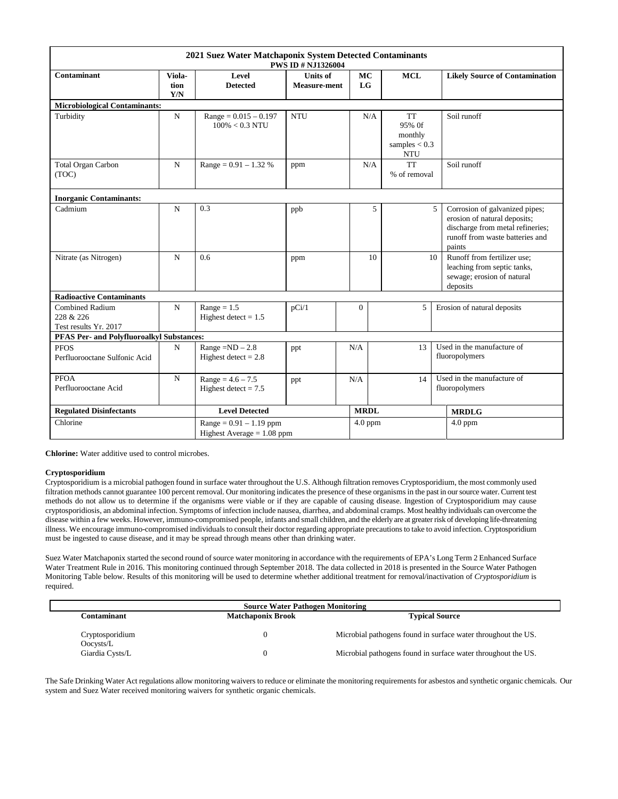|                                                              |                       | 2021 Suez Water Matchaponix System Detected Contaminants  | <b>PWS ID # NJ1326004</b>              |                 |                                                          |                                                                                                                                                      |  |  |  |  |
|--------------------------------------------------------------|-----------------------|-----------------------------------------------------------|----------------------------------------|-----------------|----------------------------------------------------------|------------------------------------------------------------------------------------------------------------------------------------------------------|--|--|--|--|
| Contaminant                                                  | Viola-<br>tion<br>Y/N | Level<br><b>Detected</b>                                  | <b>Units of</b><br><b>Measure-ment</b> | MC<br><b>LG</b> | <b>MCL</b>                                               | <b>Likely Source of Contamination</b>                                                                                                                |  |  |  |  |
| <b>Microbiological Contaminants:</b>                         |                       |                                                           |                                        |                 |                                                          |                                                                                                                                                      |  |  |  |  |
| Turbidity                                                    | $\mathbf N$           | $Range = 0.015 - 0.197$<br>$100\% < 0.3$ NTU              | <b>NTU</b>                             | N/A             | <b>TT</b><br>95% Of<br>monthly<br>samples $< 0.3$<br>NTU | Soil runoff                                                                                                                                          |  |  |  |  |
| <b>Total Organ Carbon</b><br>(TOC)                           | $\mathbf N$           | Range = $0.91 - 1.32$ %                                   | ppm                                    | N/A             | <b>TT</b><br>% of removal                                | Soil runoff                                                                                                                                          |  |  |  |  |
| <b>Inorganic Contaminants:</b>                               |                       |                                                           |                                        |                 |                                                          |                                                                                                                                                      |  |  |  |  |
| Cadmium                                                      | $\mathbf N$           | 0.3                                                       | ppb                                    | 5               |                                                          | 5<br>Corrosion of galvanized pipes;<br>erosion of natural deposits;<br>discharge from metal refineries;<br>runoff from waste batteries and<br>paints |  |  |  |  |
| Nitrate (as Nitrogen)                                        | $\mathbf N$           | 0.6                                                       | ppm                                    | 10              | 10                                                       | Runoff from fertilizer use;<br>leaching from septic tanks,<br>sewage; erosion of natural<br>deposits                                                 |  |  |  |  |
| <b>Radioactive Contaminants</b>                              |                       |                                                           |                                        |                 |                                                          |                                                                                                                                                      |  |  |  |  |
| <b>Combined Radium</b><br>228 & 226<br>Test results Yr. 2017 | $\mathbf N$           | $Range = 1.5$<br>Highest detect $= 1.5$                   | pCi/1                                  | $\mathbf{0}$    | 5                                                        | Erosion of natural deposits                                                                                                                          |  |  |  |  |
| <b>PFAS Per- and Polyfluoroalkyl Substances:</b>             |                       |                                                           |                                        |                 |                                                          |                                                                                                                                                      |  |  |  |  |
| <b>PFOS</b><br>Perfluorooctane Sulfonic Acid                 | N                     | $Range = ND - 2.8$<br>Highest detect $= 2.8$              | ppt                                    | N/A             | 13                                                       | Used in the manufacture of<br>fluoropolymers                                                                                                         |  |  |  |  |
| <b>PFOA</b><br>Perfluorooctane Acid                          | ${\bf N}$             | $Range = 4.6 - 7.5$<br>Highest detect $= 7.5$             | ppt                                    | N/A             | 14                                                       | Used in the manufacture of<br>fluoropolymers                                                                                                         |  |  |  |  |
| <b>Regulated Disinfectants</b>                               |                       | <b>Level Detected</b>                                     |                                        | <b>MRDL</b>     |                                                          | <b>MRDLG</b>                                                                                                                                         |  |  |  |  |
| Chlorine                                                     |                       | $Range = 0.91 - 1.19$ ppm<br>Highest Average $= 1.08$ ppm |                                        | $4.0$ ppm       |                                                          | $4.0$ ppm                                                                                                                                            |  |  |  |  |

**Chlorine:** Water additive used to control microbes.

# **Cryptosporidium**

Cryptosporidium is a microbial pathogen found in surface water throughout the U.S. Although filtration removes Cryptosporidium, the most commonly used filtration methods cannot guarantee 100 percent removal. Our monitoring indicates the presence of these organisms in the past in our source water. Current test methods do not allow us to determine if the organisms were viable or if they are capable of causing disease. Ingestion of Cryptosporidium may cause cryptosporidiosis, an abdominal infection. Symptoms of infection include nausea, diarrhea, and abdominal cramps. Most healthy individuals can overcome the disease within a few weeks. However, immuno-compromised people, infants and small children, and the elderly are at greater risk of developing life-threatening illness. We encourage immuno-compromised individuals to consult their doctor regarding appropriate precautions to take to avoid infection. Cryptosporidium must be ingested to cause disease, and it may be spread through means other than drinking water.

Suez Water Matchaponix started the second round of source water monitoring in accordance with the requirements of EPA's Long Term 2 Enhanced Surface Water Treatment Rule in 2016. This monitoring continued through September 2018. The data collected in 2018 is presented in the Source Water Pathogen Monitoring Table below. Results of this monitoring will be used to determine whether additional treatment for removal/inactivation of *Cryptosporidium* is required.

|                              | <b>Source Water Pathogen Monitoring</b> |                                                               |  |  |  |  |  |  |  |  |  |  |
|------------------------------|-----------------------------------------|---------------------------------------------------------------|--|--|--|--|--|--|--|--|--|--|
| Contaminant                  | <b>Matchaponix Brook</b>                | <b>Typical Source</b>                                         |  |  |  |  |  |  |  |  |  |  |
| Cryptosporidium<br>Oocvsts/L |                                         | Microbial pathogens found in surface water throughout the US. |  |  |  |  |  |  |  |  |  |  |
| Giardia Cysts/L              |                                         | Microbial pathogens found in surface water throughout the US. |  |  |  |  |  |  |  |  |  |  |

The Safe Drinking Water Act regulations allow monitoring waivers to reduce or eliminate the monitoring requirements for asbestos and synthetic organic chemicals. Our system and Suez Water received monitoring waivers for synthetic organic chemicals.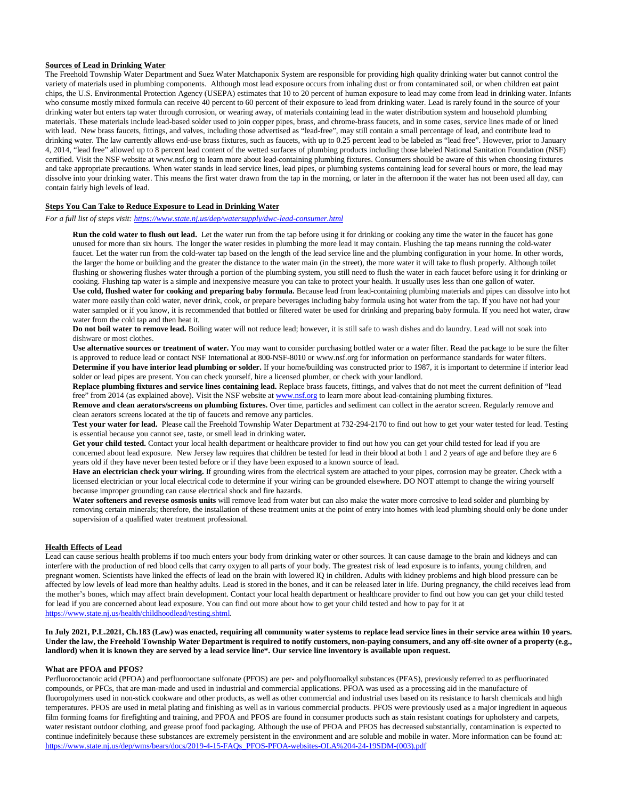## **Sources of Lead in Drinking Water**

The Freehold Township Water Department and Suez Water Matchaponix System are responsible for providing high quality drinking water but cannot control the variety of materials used in plumbing components. Although most lead exposure occurs from inhaling dust or from contaminated soil, or when children eat paint chips, the U.S. Environmental Protection Agency (USEPA) estimates that 10 to 20 percent of human exposure to lead may come from lead in drinking water. Infants who consume mostly mixed formula can receive 40 percent to 60 percent of their exposure to lead from drinking water. Lead is rarely found in the source of your drinking water but enters tap water through corrosion, or wearing away, of materials containing lead in the water distribution system and household plumbing materials. These materials include lead-based solder used to join copper pipes, brass, and chrome-brass faucets, and in some cases, service lines made of or lined with lead. New brass faucets, fittings, and valves, including those advertised as "lead-free", may still contain a small percentage of lead, and contribute lead to drinking water. The law currently allows end-use brass fixtures, such as faucets, with up to 0.25 percent lead to be labeled as "lead free". However, prior to January 4, 2014, "lead free" allowed up to 8 percent lead content of the wetted surfaces of plumbing products including those labeled National Sanitation Foundation (NSF) certified. Visit the NSF website at www.nsf.org to learn more about lead-containing plumbing fixtures. Consumers should be aware of this when choosing fixtures and take appropriate precautions. When water stands in lead service lines, lead pipes, or plumbing systems containing lead for several hours or more, the lead may dissolve into your drinking water. This means the first water drawn from the tap in the morning, or later in the afternoon if the water has not been used all day, can contain fairly high levels of lead.

# **Steps You Can Take to Reduce Exposure to Lead in Drinking Water**

*For a full list of steps visit:<https://www.state.nj.us/dep/watersupply/dwc-lead-consumer.html>*

**Run the cold water to flush out lead.** Let the water run from the tap before using it for drinking or cooking any time the water in the faucet has gone unused for more than six hours. The longer the water resides in plumbing the more lead it may contain. Flushing the tap means running the cold-water faucet. Let the water run from the cold-water tap based on the length of the lead service line and the plumbing configuration in your home. In other words, the larger the home or building and the greater the distance to the water main (in the street), the more water it will take to flush properly. Although toilet flushing or showering flushes water through a portion of the plumbing system, you still need to flush the water in each faucet before using it for drinking or cooking. Flushing tap water is a simple and inexpensive measure you can take to protect your health. It usually uses less than one gallon of water. **Use cold, flushed water for cooking and preparing baby formula.** Because lead from lead-containing plumbing materials and pipes can dissolve into hot water more easily than cold water, never drink, cook, or prepare beverages including baby formula using hot water from the tap. If you have not had your water sampled or if you know, it is recommended that bottled or filtered water be used for drinking and preparing baby formula. If you need hot water, draw water from the cold tap and then heat it.

**Do not boil water to remove lead.** Boiling water will not reduce lead; however, it is still safe to wash dishes and do laundry. Lead will not soak into dishware or most clothes.

**Use alternative sources or treatment of water.** You may want to consider purchasing bottled water or a water filter. Read the package to be sure the filter is approved to reduce lead or contact NSF International at 800-NSF-8010 o[r www.nsf.org](http://www.nsf.org/) for information on performance standards for water filters. **Determine if you have interior lead plumbing or solder.** If your home/building was constructed prior to 1987, it is important to determine if interior lead solder or lead pipes are present. You can check yourself, hire a licensed plumber, or check with your landlord.

**Replace plumbing fixtures and service lines containing lead.** Replace brass faucets, fittings, and valves that do not meet the current definition of "lead free" from 2014 (as explained above). Visit the NSF website a[t www.nsf.org](http://www.nsf.org/) to learn more about lead-containing plumbing fixtures.

**Remove and clean aerators/screens on plumbing fixtures.** Over time, particles and sediment can collect in the aerator screen. Regularly remove and clean aerators screens located at the tip of faucets and remove any particles.

**Test your water for lead.** Please call the Freehold Township Water Department at 732-294-2170 to find out how to get your water tested for lead. Testing is essential because you cannot see, taste, or smell lead in drinking water**.**

Get your child tested. Contact your local health department or healthcare provider to find out how you can get your child tested for lead if you are concerned about lead exposure. New Jersey law requires that children be tested for lead in their blood at both 1 and 2 years of age and before they are 6 years old if they have never been tested before or if they have been exposed to a known source of lead.

**Have an electrician check your wiring.** If grounding wires from the electrical system are attached to your pipes, corrosion may be greater. Check with a licensed electrician or your local electrical code to determine if your wiring can be grounded elsewhere. DO NOT attempt to change the wiring yourself because improper grounding can cause electrical shock and fire hazards.

**Water softeners and reverse osmosis units** will remove lead from water but can also make the water more corrosive to lead solder and plumbing by removing certain minerals; therefore, the installation of these treatment units at the point of entry into homes with lead plumbing should only be done under supervision of a qualified water treatment professional.

## **Health Effects of Lead**

Lead can cause serious health problems if too much enters your body from drinking water or other sources. It can cause damage to the brain and kidneys and can interfere with the production of red blood cells that carry oxygen to all parts of your body. The greatest risk of lead exposure is to infants, young children, and pregnant women. Scientists have linked the effects of lead on the brain with lowered IQ in children. Adults with kidney problems and high blood pressure can be affected by low levels of lead more than healthy adults. Lead is stored in the bones, and it can be released later in life. During pregnancy, the child receives lead from the mother's bones, which may affect brain development. Contact your local health department or healthcare provider to find out how you can get your child tested for lead if you are concerned about lead exposure. You can find out more about how to get your child tested and how to pay for it at [https://www.state.nj.us/health/childhoodlead/testing.shtml.](https://www.state.nj.us/health/childhoodlead/testing.shtml) 

**In July 2021, P.L.2021, Ch.183 (Law) was enacted, requiring all community water systems to replace lead service lines in their service area within 10 years. Under the law, the Freehold Township Water Department is required to notify customers, non-paying consumers, and any off-site owner of a property (e.g., landlord) when it is known they are served by a lead service line\*. Our service line inventory is available upon request.**

# **What are PFOA and PFOS?**

Perfluorooctanoic acid (PFOA) and perfluorooctane sulfonate (PFOS) are per- and polyfluoroalkyl substances (PFAS), previously referred to as perfluorinated compounds, or PFCs, that are man-made and used in industrial and commercial applications. PFOA was used as a processing aid in the manufacture of fluoropolymers used in non-stick cookware and other products, as well as other commercial and industrial uses based on its resistance to harsh chemicals and high temperatures. PFOS are used in metal plating and finishing as well as in various commercial products. PFOS were previously used as a major ingredient in aqueous film forming foams for firefighting and training, and PFOA and PFOS are found in consumer products such as stain resistant coatings for upholstery and carpets, water resistant outdoor clothing, and grease proof food packaging. Although the use of PFOA and PFOS has decreased substantially, contamination is expected to continue indefinitely because these substances are extremely persistent in the environment and are soluble and mobile in water. More information can be found at: [https://www.state.nj.us/dep/wms/bears/docs/2019-4-15-FAQs\\_PFOS-PFOA-websites-OLA%204-24-19SDM-\(003\).pdf](https://www.state.nj.us/dep/wms/bears/docs/2019-4-15-FAQs_PFOS-PFOA-websites-OLA%204-24-19SDM-(003).pdf)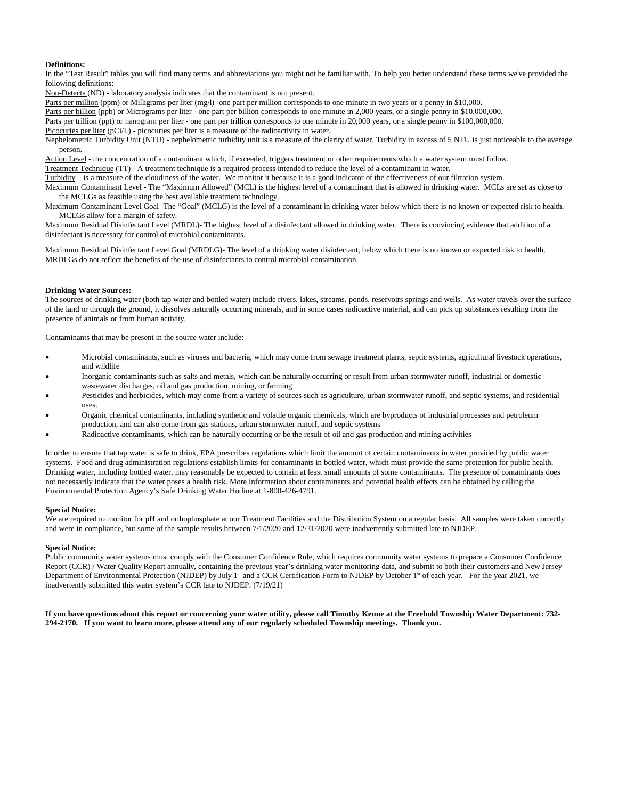## **Definitions:**

In the "Test Result" tables you will find many terms and abbreviations you might not be familiar with. To help you better understand these terms we've provided the following definitions:

Non-Detects (ND) - laboratory analysis indicates that the contaminant is not present.

Parts per million (ppm) or Milligrams per liter (mg/l) -one part per million corresponds to one minute in two years or a penny in \$10,000.

Parts per billion (ppb) or Micrograms per liter - one part per billion corresponds to one minute in 2,000 years, or a single penny in \$10,000,000.

Parts per trillion (ppt) or nanogram per liter - one part per trillion corresponds to one minute in 20,000 years, or a single penny in \$100,000,000.

Picocuries per liter (pCi/L) - picocuries per liter is a measure of the radioactivity in water.

Nephelometric Turbidity Unit (NTU) - nephelometric turbidity unit is a measure of the clarity of water. Turbidity in excess of 5 NTU is just noticeable to the average person.

Action Level - the concentration of a contaminant which, if exceeded, triggers treatment or other requirements which a water system must follow.

Treatment Technique (TT) - A treatment technique is a required process intended to reduce the level of a contaminant in water.

Turbidity – is a measure of the cloudiness of the water. We monitor it because it is a good indicator of the effectiveness of our filtration system.

Maximum Contaminant Level - The "Maximum Allowed" (MCL) is the highest level of a contaminant that is allowed in drinking water. MCLs are set as close to the MCLGs as feasible using the best available treatment technology.

Maximum Contaminant Level Goal -The "Goal" (MCLG) is the level of a contaminant in drinking water below which there is no known or expected risk to health. MCLGs allow for a margin of safety.

Maximum Residual Disinfectant Level (MRDL)- The highest level of a disinfectant allowed in drinking water. There is convincing evidence that addition of a disinfectant is necessary for control of microbial contaminants.

Maximum Residual Disinfectant Level Goal (MRDLG)- The level of a drinking water disinfectant, below which there is no known or expected risk to health. MRDLGs do not reflect the benefits of the use of disinfectants to control microbial contamination.

#### **Drinking Water Sources:**

The sources of drinking water (both tap water and bottled water) include rivers, lakes, streams, ponds, reservoirs springs and wells. As water travels over the surface of the land or through the ground, it dissolves naturally occurring minerals, and in some cases radioactive material, and can pick up substances resulting from the presence of animals or from human activity.

Contaminants that may be present in the source water include:

- Microbial contaminants, such as viruses and bacteria, which may come from sewage treatment plants, septic systems, agricultural livestock operations, and wildlife
- Inorganic contaminants such as salts and metals, which can be naturally occurring or result from urban stormwater runoff, industrial or domestic wastewater discharges, oil and gas production, mining, or farming
- Pesticides and herbicides, which may come from a variety of sources such as agriculture, urban stormwater runoff, and septic systems, and residential uses.
- Organic chemical contaminants, including synthetic and volatile organic chemicals, which are byproducts of industrial processes and petroleum production, and can also come from gas stations, urban stormwater runoff, and septic systems
- Radioactive contaminants, which can be naturally occurring or be the result of oil and gas production and mining activities

In order to ensure that tap water is safe to drink, EPA prescribes regulations which limit the amount of certain contaminants in water provided by public water systems. Food and drug administration regulations establish limits for contaminants in bottled water, which must provide the same protection for public health. Drinking water, including bottled water, may reasonably be expected to contain at least small amounts of some contaminants. The presence of contaminants does not necessarily indicate that the water poses a health risk. More information about contaminants and potential health effects can be obtained by calling the Environmental Protection Agency's Safe Drinking Water Hotline at 1-800-426-4791.

#### **Special Notice:**

We are required to monitor for pH and orthophosphate at our Treatment Facilities and the Distribution System on a regular basis. All samples were taken correctly and were in compliance, but some of the sample results between 7/1/2020 and 12/31/2020 were inadvertently submitted late to NJDEP.

#### **Special Notice:**

Public community water systems must comply with the Consumer Confidence Rule, which requires community water systems to prepare a Consumer Confidence Report (CCR) / Water Quality Report annually, containing the previous year's drinking water monitoring data, and submit to both their customers and New Jersey Department of Environmental Protection (NJDEP) by July 1<sup>st</sup> and a CCR Certification Form to NJDEP by October 1<sup>st</sup> of each year. For the year 2021, we inadvertently submitted this water system's CCR late to NJDEP. (7/19/21)

**If you have questions about this report or concerning your water utility, please call Timothy Keune at the Freehold Township Water Department: 732- 294-2170. If you want to learn more, please attend any of our regularly scheduled Township meetings. Thank you.**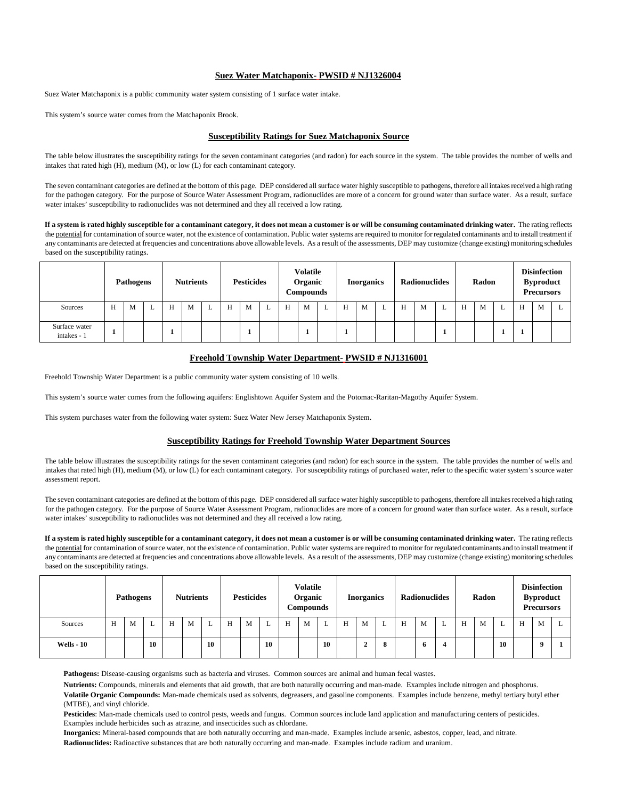## **Suez Water Matchaponix- PWSID # NJ1326004**

Suez Water Matchaponix is a public community water system consisting of 1 surface water intake.

This system's source water comes from the Matchaponix Brook.

## **Susceptibility Ratings for Suez Matchaponix Source**

The table below illustrates the susceptibility ratings for the seven contaminant categories (and radon) for each source in the system. The table provides the number of wells and intakes that rated high (H), medium (M), or low (L) for each contaminant category.

The seven contaminant categories are defined at the bottom of this page. DEP considered all surface water highly susceptible to pathogens, therefore all intakes received a high rating for the pathogen category. For the purpose of Source Water Assessment Program, radionuclides are more of a concern for ground water than surface water. As a result, surface water intakes' susceptibility to radionuclides was not determined and they all received a low rating.

**If a system is rated highly susceptible for a contaminant category, it does not mean a customer is or will be consuming contaminated drinking water.** The rating reflects the potential for contamination of source water, not the existence of contamination. Public water systems are required to monitor for regulated contaminants and to install treatment if any contaminants are detected at frequencies and concentrations above allowable levels. As a result of the assessments, DEP may customize (change existing) monitoring schedules based on the susceptibility ratings.

|                              | <b>Pathogens</b> |   |   | <b>Nutrients</b> |   |   | <b>Pesticides</b> |   |   | <b>Volatile</b><br>Organic<br>Compounds |   |   | <b>Inorganics</b> |   |   | <b>Radionuclides</b> |   |   | Radon |   |   | <b>Disinfection</b><br><b>Byproduct</b><br><b>Precursors</b> |   |  |
|------------------------------|------------------|---|---|------------------|---|---|-------------------|---|---|-----------------------------------------|---|---|-------------------|---|---|----------------------|---|---|-------|---|---|--------------------------------------------------------------|---|--|
| Sources                      | H                | M | ∸ | H                | M | ⊷ | H                 | M | ∸ |                                         | M | ∸ | H                 | M | L | H                    | M | ⊷ | H     | M | ┶ | H                                                            | M |  |
| Surface water<br>intakes - 1 |                  |   |   | л.               |   |   |                   |   |   |                                         |   |   |                   |   |   |                      |   |   |       |   |   |                                                              |   |  |

# **Freehold Township Water Department- PWSID # NJ1316001**

Freehold Township Water Department is a public community water system consisting of 10 wells.

This system's source water comes from the following aquifers: Englishtown Aquifer System and the Potomac-Raritan-Magothy Aquifer System.

This system purchases water from the following water system: Suez Water New Jersey Matchaponix System.

## **Susceptibility Ratings for Freehold Township Water Department Sources**

The table below illustrates the susceptibility ratings for the seven contaminant categories (and radon) for each source in the system. The table provides the number of wells and intakes that rated high (H), medium (M), or low (L) for each contaminant category. For susceptibility ratings of purchased water, refer to the specific water system's source water assessment report.

The seven contaminant categories are defined at the bottom of this page. DEP considered all surface water highly susceptible to pathogens, therefore all intakes received a high rating for the pathogen category. For the purpose of Source Water Assessment Program, radionuclides are more of a concern for ground water than surface water. As a result, surface water intakes' susceptibility to radionuclides was not determined and they all received a low rating.

**If a system is rated highly susceptible for a contaminant category, it does not mean a customer is or will be consuming contaminated drinking water.** The rating reflects the potential for contamination of source water, not the existence of contamination. Public water systems are required to monitor for regulated contaminants and to install treatment if any contaminants are detected at frequencies and concentrations above allowable levels. As a result of the assessments, DEP may customize (change existing) monitoring schedules based on the susceptibility ratings.

|                   |   | <b>Nutrients</b><br><b>Pathogens</b> |    |   | <b>Pesticides</b> |    |   | <b>Volatile</b><br>Organic<br>Compounds |    |   | <b>Inorganics</b> |    |   | <b>Radionuclides</b>            |   |   | Radon |  |   | <b>Disinfection</b><br><b>Byproduct</b><br><b>Precursors</b> |    |  |              |  |
|-------------------|---|--------------------------------------|----|---|-------------------|----|---|-----------------------------------------|----|---|-------------------|----|---|---------------------------------|---|---|-------|--|---|--------------------------------------------------------------|----|--|--------------|--|
| Sources           | H | M                                    | ∸  | H | M                 |    | H | M                                       | ໋  | H | M                 | L  | H | M                               | ⊷ | H | M     |  | H | M                                                            | ∸  |  | M            |  |
| <b>Wells - 10</b> |   |                                      | 10 |   |                   | 10 |   |                                         | 10 |   |                   | 10 |   | $\rightarrow$<br>$\overline{ }$ | 8 |   | Ð     |  |   |                                                              | 10 |  | $\mathbf{0}$ |  |

**Pathogens:** Disease-causing organisms such as bacteria and viruses. Common sources are animal and human fecal wastes.

**Nutrients:** Compounds, minerals and elements that aid growth, that are both naturally occurring and man-made. Examples include nitrogen and phosphorus. **Volatile Organic Compounds:** Man-made chemicals used as solvents, degreasers, and gasoline components. Examples include benzene, methyl tertiary butyl ether

(MTBE), and vinyl chloride.

**Pesticides**: Man-made chemicals used to control pests, weeds and fungus. Common sources include land application and manufacturing centers of pesticides. Examples include herbicides such as atrazine, and insecticides such as chlordane.

**Inorganics:** Mineral-based compounds that are both naturally occurring and man-made. Examples include arsenic, asbestos, copper, lead, and nitrate. **Radionuclides:** Radioactive substances that are both naturally occurring and man-made. Examples include radium and uranium.